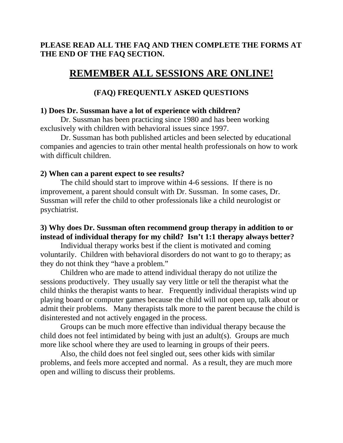# **PLEASE READ ALL THE FAQ AND THEN COMPLETE THE FORMS AT THE END OF THE FAQ SECTION.**

# **REMEMBER ALL SESSIONS ARE ONLINE!**

# **(FAQ) FREQUENTLY ASKED QUESTIONS**

# **1) Does Dr. Sussman have a lot of experience with children?**

Dr. Sussman has been practicing since 1980 and has been working exclusively with children with behavioral issues since 1997.

Dr. Sussman has both published articles and been selected by educational companies and agencies to train other mental health professionals on how to work with difficult children.

# **2) When can a parent expect to see results?**

The child should start to improve within 4-6 sessions. If there is no improvement, a parent should consult with Dr. Sussman. In some cases, Dr. Sussman will refer the child to other professionals like a child neurologist or psychiatrist.

# **3) Why does Dr. Sussman often recommend group therapy in addition to or instead of individual therapy for my child? Isn't 1:1 therapy always better?**

Individual therapy works best if the client is motivated and coming voluntarily. Children with behavioral disorders do not want to go to therapy; as they do not think they "have a problem."

Children who are made to attend individual therapy do not utilize the sessions productively. They usually say very little or tell the therapist what the child thinks the therapist wants to hear. Frequently individual therapists wind up playing board or computer games because the child will not open up, talk about or admit their problems. Many therapists talk more to the parent because the child is disinterested and not actively engaged in the process.

Groups can be much more effective than individual therapy because the child does not feel intimidated by being with just an adult(s). Groups are much more like school where they are used to learning in groups of their peers.

Also, the child does not feel singled out, sees other kids with similar problems, and feels more accepted and normal. As a result, they are much more open and willing to discuss their problems.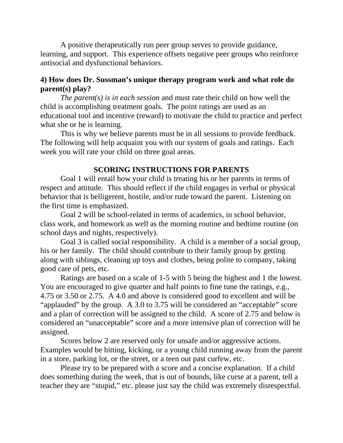A positive therapeutically run peer group serves to provide guidance, learning, and support. This experience offsets negative peer groups who reinforce antisocial and dysfunctional behaviors.

# **4) How does Dr. Sussman's unique therapy program work and what role do parent(s) play?**

*The parent(s) is in each session* and must rate their child on how well the child is accomplishing treatment goals. The point ratings are used as an educational tool and incentive (reward) to motivate the child to practice and perfect what she or he is learning.

This is why we believe parents must be in all sessions to provide feedback. The following will help acquaint you with our system of goals and ratings. Each week you will rate your child on three goal areas.

# **SCORING INSTRUCTIONS FOR PARENTS**

Goal 1 will entail how your child is treating his or her parents in terms of respect and attitude. This should reflect if the child engages in verbal or physical behavior that is belligerent, hostile, and/or rude toward the parent. Listening on the first time is emphasized.

Goal 2 will be school-related in terms of academics, in school behavior, class work, and homework as well as the morning routine and bedtime routine (on school days and nights, respectively).

Goal 3 is called social responsibility. A child is a member of a social group, his or her family. The child should contribute to their family group by getting along with siblings, cleaning up toys and clothes, being polite to company, taking good care of pets, etc.

Ratings are based on a scale of 1-5 with 5 being the highest and 1 the lowest. You are encouraged to give quarter and half points to fine tune the ratings, e.g., 4.75 or 3.50 or 2.75. A 4.0 and above is considered good to excellent and will be "applauded" by the group. A 3.0 to 3.75 will be considered an "acceptable" score and a plan of correction will be assigned to the child. A score of 2.75 and below is considered an "unacceptable" score and a more intensive plan of correction will be assigned.

Scores below 2 are reserved only for unsafe and/or aggressive actions. Examples would be hitting, kicking, or a young child running away from the parent in a store, parking lot, or the street, or a teen out past curfew, etc.

Please try to be prepared with a score and a concise explanation. If a child does something during the week, that is out of bounds, like curse at a parent, tell a teacher they are "stupid," etc. please just say the child was extremely disrespectful.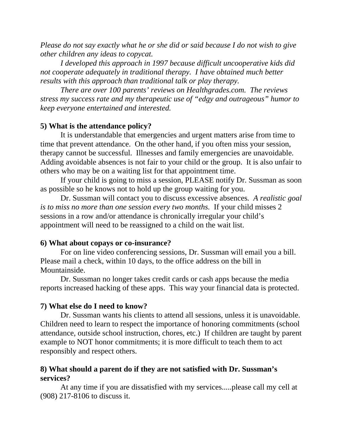*Please do not say exactly what he or she did or said because I do not wish to give other children any ideas to copycat.*

*I developed this approach in 1997 because difficult uncooperative kids did not cooperate adequately in traditional therapy. I have obtained much better results with this approach than traditional talk or play therapy.*

*There are over 100 parents' reviews on Healthgrades.com. The reviews stress my success rate and my therapeutic use of "edgy and outrageous" humor to keep everyone entertained and interested.*

# **5) What is the attendance policy?**

It is understandable that emergencies and urgent matters arise from time to time that prevent attendance. On the other hand, if you often miss your session, therapy cannot be successful. Illnesses and family emergencies are unavoidable. Adding avoidable absences is not fair to your child or the group. It is also unfair to others who may be on a waiting list for that appointment time.

If your child is going to miss a session, PLEASE notify Dr. Sussman as soon as possible so he knows not to hold up the group waiting for you.

Dr. Sussman will contact you to discuss excessive absences*. A realistic goal is to miss no more than one session every two months.* If your child misses 2 sessions in a row and/or attendance is chronically irregular your child's appointment will need to be reassigned to a child on the wait list.

# **6) What about copays or co-insurance?**

For on line video conferencing sessions, Dr. Sussman will email you a bill. Please mail a check, within 10 days, to the office address on the bill in Mountainside.

Dr. Sussman no longer takes credit cards or cash apps because the media reports increased hacking of these apps. This way your financial data is protected.

# **7) What else do I need to know?**

Dr. Sussman wants his clients to attend all sessions, unless it is unavoidable. Children need to learn to respect the importance of honoring commitments (school attendance, outside school instruction, chores, etc.) If children are taught by parent example to NOT honor commitments; it is more difficult to teach them to act responsibly and respect others.

# **8) What should a parent do if they are not satisfied with Dr. Sussman's services?**

At any time if you are dissatisfied with my services.....please call my cell at (908) 217-8106 to discuss it.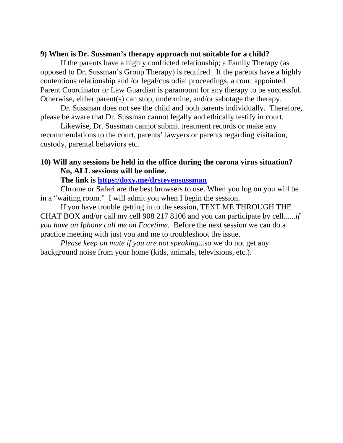## **9) When is Dr. Sussman's therapy approach not suitable for a child?**

If the parents have a highly conflicted relationship; a Family Therapy (as opposed to Dr. Sussman's Group Therapy) is required. If the parents have a highly contentious relationship and /or legal/custodial proceedings, a court appointed Parent Coordinator or Law Guardian is paramount for any therapy to be successful. Otherwise, either parent(s) can stop, undermine, and/or sabotage the therapy.

Dr. Sussman does not see the child and both parents individually. Therefore, please be aware that Dr. Sussman cannot legally and ethically testify in court.

Likewise, Dr. Sussman cannot submit treatment records or make any recommendations to the court, parents' lawyers or parents regarding visitation, custody, parental behaviors etc.

# **10) Will any sessions be held in the office during the corona virus situation? No, ALL sessions will be online.**

**The link is [https:/doxy.me/drstevensussman](https://doxy.me/drstevensussman)**

Chrome or Safari are the best browsers to use. When you log on you will be in a "waiting room." I will admit you when I begin the session.

If you have trouble getting in to the session, TEXT ME THROUGH THE CHAT BOX and/or call my cell 908 217 8106 and you can participate by cell......*if you have an Iphone call me on Facetime*. Before the next session we can do a practice meeting with just you and me to troubleshoot the issue.

*Please keep on mute if you are not speaking*...so we do not get any background noise from your home (kids, animals, televisions, etc.).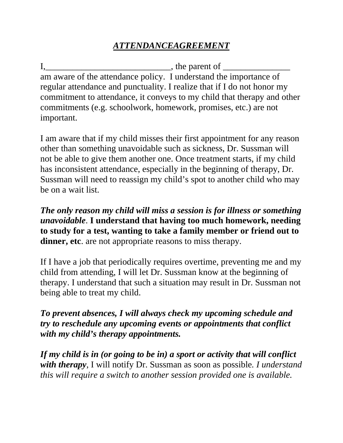# *ATTENDANCEAGREEMENT*

I, the parent of am aware of the attendance policy. I understand the importance of regular attendance and punctuality. I realize that if I do not honor my commitment to attendance, it conveys to my child that therapy and other commitments (e.g. schoolwork, homework, promises, etc.) are not important.

I am aware that if my child misses their first appointment for any reason other than something unavoidable such as sickness, Dr. Sussman will not be able to give them another one. Once treatment starts, if my child has inconsistent attendance, especially in the beginning of therapy, Dr. Sussman will need to reassign my child's spot to another child who may be on a wait list.

*The only reason my child will miss a session is for illness or something unavoidable*. **I understand that having too much homework, needing to study for a test, wanting to take a family member or friend out to dinner, etc**. are not appropriate reasons to miss therapy.

If I have a job that periodically requires overtime, preventing me and my child from attending, I will let Dr. Sussman know at the beginning of therapy. I understand that such a situation may result in Dr. Sussman not being able to treat my child.

# *To prevent absences, I will always check my upcoming schedule and try to reschedule any upcoming events or appointments that conflict with my child's therapy appointments.*

*If my child is in (or going to be in) a sport or activity that will conflict with therapy*, I will notify Dr. Sussman as soon as possible*. I understand this will require a switch to another session provided one is available.*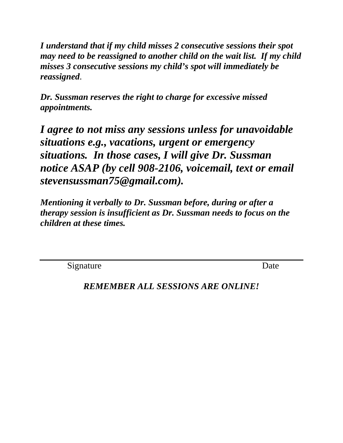*I understand that if my child misses 2 consecutive sessions their spot may need to be reassigned to another child on the wait list. If my child misses 3 consecutive sessions my child's spot will immediately be reassigned*.

*Dr. Sussman reserves the right to charge for excessive missed appointments.*

*I agree to not miss any sessions unless for unavoidable situations e.g., vacations, urgent or emergency situations. In those cases, I will give Dr. Sussman notice ASAP (by cell 908-2106, voicemail, text or email stevensussman75@gmail.com).*

*Mentioning it verbally to Dr. Sussman before, during or after a therapy session is insufficient as Dr. Sussman needs to focus on the children at these times.*

Signature Date

*REMEMBER ALL SESSIONS ARE ONLINE!*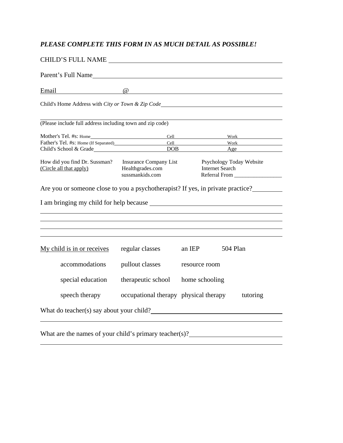# *PLEASE COMPLETE THIS FORM IN AS MUCH DETAIL AS POSSIBLE!*

| Parent's Full Name                                                                                            |                                       |                                                                                                                                                                                                                                |             |
|---------------------------------------------------------------------------------------------------------------|---------------------------------------|--------------------------------------------------------------------------------------------------------------------------------------------------------------------------------------------------------------------------------|-------------|
|                                                                                                               |                                       |                                                                                                                                                                                                                                |             |
| Email                                                                                                         | $\omega$                              |                                                                                                                                                                                                                                |             |
|                                                                                                               |                                       |                                                                                                                                                                                                                                |             |
| Child's Home Address with City or Town & Zip Code_______________________________                              |                                       |                                                                                                                                                                                                                                |             |
| (Please include full address including town and zip code)                                                     |                                       |                                                                                                                                                                                                                                |             |
|                                                                                                               |                                       | Cell and the contract of the contract of the contract of the contract of the contract of the contract of the contract of the contract of the contract of the contract of the contract of the contract of the contract of the c | Work        |
|                                                                                                               |                                       | Cell and the contract of the contract of the contract of the contract of the contract of the contract of the contract of the contract of the contract of the contract of the contract of the contract of the contract of the c | <b>Work</b> |
| Child's School & Grade                                                                                        | <b>DOB</b>                            |                                                                                                                                                                                                                                | Age         |
| How did you find Dr. Sussman?                                                                                 | <b>Insurance Company List</b>         | Psychology Today Website                                                                                                                                                                                                       |             |
| (Circle all that apply)                                                                                       | Healthgrades.com                      | Internet Search                                                                                                                                                                                                                |             |
|                                                                                                               |                                       |                                                                                                                                                                                                                                |             |
|                                                                                                               | sussmankids.com                       |                                                                                                                                                                                                                                |             |
|                                                                                                               |                                       |                                                                                                                                                                                                                                |             |
| Are you or someone close to you a psychotherapist? If yes, in private practice?<br>My child is in or receives | regular classes                       | 504 Plan<br>an IEP                                                                                                                                                                                                             |             |
| accommodations                                                                                                | pullout classes                       | resource room                                                                                                                                                                                                                  |             |
|                                                                                                               |                                       |                                                                                                                                                                                                                                |             |
| special education                                                                                             | therapeutic school                    | home schooling                                                                                                                                                                                                                 |             |
| speech therapy                                                                                                | occupational therapy physical therapy |                                                                                                                                                                                                                                | tutoring    |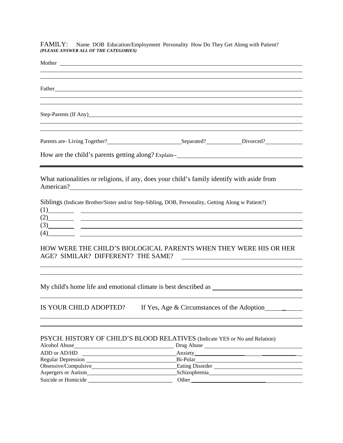FAMILY: Name DOB Education/Employment Personality How Do They Get Along with Patient? *(PLEASE ANSWER ALL OF THE CATEGORIES)*

|                                                                                                                                                                                                                             | <u> 1989 - Andrea Stadt Brandenburg, amerikansk politiker (d. 1989)</u>                                                                                                                                                                                                                                                           |
|-----------------------------------------------------------------------------------------------------------------------------------------------------------------------------------------------------------------------------|-----------------------------------------------------------------------------------------------------------------------------------------------------------------------------------------------------------------------------------------------------------------------------------------------------------------------------------|
|                                                                                                                                                                                                                             | Father <u>the contract of the contract of the contract of the contract of the contract of the contract of the contract of the contract of the contract of the contract of the contract of the contract of the contract of the co</u>                                                                                              |
| Step-Parents (If Any)                                                                                                                                                                                                       | ,我们也不会有什么。""我们的人,我们也不会有什么?""我们的人,我们也不会有什么?""我们的人,我们也不会有什么?""我们的人,我们也不会有什么?""我们的人                                                                                                                                                                                                                                                  |
|                                                                                                                                                                                                                             | ,我们也不会有什么。""我们的人,我们也不会有什么?""我们的人,我们也不会有什么?""我们的人,我们也不会有什么?""我们的人,我们也不会有什么?""我们的人                                                                                                                                                                                                                                                  |
|                                                                                                                                                                                                                             |                                                                                                                                                                                                                                                                                                                                   |
|                                                                                                                                                                                                                             | What nationalities or religions, if any, does your child's family identify with aside from<br>American?                                                                                                                                                                                                                           |
|                                                                                                                                                                                                                             | Siblings (Indicate Brother/Sister and/or Step-Sibling, DOB, Personality, Getting Along w Patient?)<br>$(1)$ and $(1)$ and $(1)$ and $(1)$ and $(1)$ and $(1)$ and $(1)$ and $(1)$ and $(1)$ and $(1)$ and $(1)$ and $(1)$ and $(1)$ and $(1)$ and $(1)$ and $(1)$ and $(1)$ and $(1)$ and $(1)$ and $(1)$ and $(1)$ and $(1)$ and |
| $(4)$ and $(4)$ and $(4)$ and $(4)$ and $(4)$ and $(4)$ and $(4)$ and $(4)$ and $(4)$ and $(4)$ and $(4)$ and $(4)$ and $(4)$ and $(4)$ and $(4)$ and $(4)$ and $(4)$ and $(4)$ and $(4)$ and $(4)$ and $(4)$ and $(4)$ and | $(2)$ and $(3)$ and $(4)$<br>$\overline{\text{3)}}$                                                                                                                                                                                                                                                                               |
|                                                                                                                                                                                                                             | HOW WERE THE CHILD'S BIOLOGICAL PARENTS WHEN THEY WERE HIS OR HER                                                                                                                                                                                                                                                                 |
|                                                                                                                                                                                                                             |                                                                                                                                                                                                                                                                                                                                   |
| IS YOUR CHILD ADOPTED?                                                                                                                                                                                                      | If Yes, Age & Circumstances of the Adoption                                                                                                                                                                                                                                                                                       |
|                                                                                                                                                                                                                             | PSYCH. HISTORY OF CHILD'S BLOOD RELATIVES (Indicate YES or No and Relation)                                                                                                                                                                                                                                                       |
| ADD or AD/HD<br><u> 1989 - Johann Barn, mars et al. (</u>                                                                                                                                                                   |                                                                                                                                                                                                                                                                                                                                   |
|                                                                                                                                                                                                                             |                                                                                                                                                                                                                                                                                                                                   |
|                                                                                                                                                                                                                             |                                                                                                                                                                                                                                                                                                                                   |
|                                                                                                                                                                                                                             | Schizophrenia et al. 2010                                                                                                                                                                                                                                                                                                         |

Suicide or Homicide \_\_\_\_\_\_\_\_\_\_\_\_\_\_\_\_\_\_\_\_\_\_\_\_\_ Other \_\_\_\_\_\_\_\_\_\_\_\_\_\_\_\_\_\_\_\_\_\_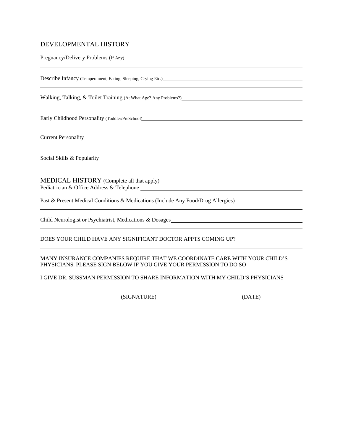#### DEVELOPMENTAL HISTORY

Pregnancy/Delivery Problems (If Any)

Describe Infancy (Temperament, Eating, Sleeping, Crying Etc.)

Walking, Talking, & Toilet Training (At What Age? Any Problems?)

Early Childhood Personality (Toddler/PreSchool)<br>
<u>Early Childhood Personality</u> (Toddler/PreSchool)

Current Personality

Social Skills & Popularity

MEDICAL HISTORY (Complete all that apply) Pediatrician & Office Address & Telephone

Past & Present Medical Conditions & Medications (Include Any Food/Drug Allergies)

Child Neurologist or Psychiatrist, Medications & Dosages

DOES YOUR CHILD HAVE ANY SIGNIFICANT DOCTOR APPTS COMING UP?

#### MANY INSURANCE COMPANIES REQUIRE THAT WE COORDINATE CARE WITH YOUR CHILD'S PHYSICIANS. PLEASE SIGN BELOW IF YOU GIVE YOUR PERMISSION TO DO SO

#### I GIVE DR. SUSSMAN PERMISSION TO SHARE INFORMATION WITH MY CHILD'S PHYSICIANS

(SIGNATURE) (DATE)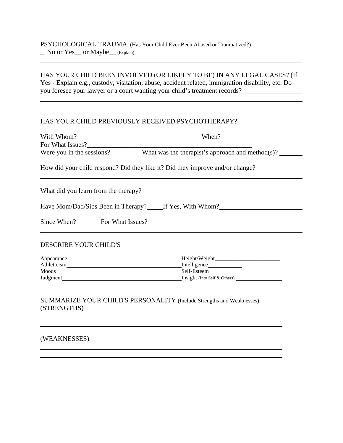## HAS YOUR CHILD BEEN INVOLVED (OR LIKELY TO BE) IN ANY LEGAL CASES? (If Yes - Explain e.g., custody, visitation, abuse, accident related, immigration disability, etc. Do you foresee your lawyer or a court wanting your child's treatment records?

<u> 1980 - Andrea Station Andrea Station (m. 1980)</u>

### HAS YOUR CHILD PREVIOUSLY RECEIVED PSYCHOTHERAPY?

|                                                                                                                                                                                                                                | Were you in the sessions? What was the therapist's approach and method(s)?    |
|--------------------------------------------------------------------------------------------------------------------------------------------------------------------------------------------------------------------------------|-------------------------------------------------------------------------------|
|                                                                                                                                                                                                                                | How did your child respond? Did they like it? Did they improve and/or change? |
|                                                                                                                                                                                                                                |                                                                               |
| Have Mom/Dad/Sibs Been in Therapy?_____If Yes, With Whom?________________________                                                                                                                                              |                                                                               |
| Since When? Since When ? Since When ? Since When ? Since When ? Since When ? Since When ? Since When ? Since When ? Since When ? Since When ? Since When ? Since When ? Since When ? Since When ? Since When ? Since When ? Si |                                                                               |
| <b>DESCRIBE YOUR CHILD'S</b>                                                                                                                                                                                                   |                                                                               |
|                                                                                                                                                                                                                                |                                                                               |
|                                                                                                                                                                                                                                |                                                                               |
|                                                                                                                                                                                                                                |                                                                               |
|                                                                                                                                                                                                                                |                                                                               |
|                                                                                                                                                                                                                                |                                                                               |

#### SUMMARIZE YOUR CHILD'S PERSONALITY (Include Strengths and Weaknesses): (STRENGTHS)

#### (WEAKNESSES)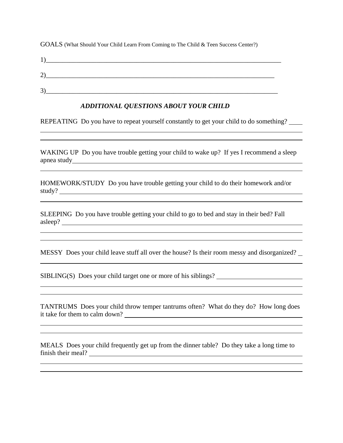GOALS (What Should Your Child Learn From Coming to The Child & Teen Success Center?)

| $\mathbf{I}$       |  |  |
|--------------------|--|--|
| ∍<br>∠             |  |  |
| $\mathcal{R}$<br>ر |  |  |

#### *ADDITIONAL QUESTIONS ABOUT YOUR CHILD*

REPEATING Do you have to repeat yourself constantly to get your child to do something?

and the control of the control of the control of the control of the control of the control of the control of the

WAKING UP Do you have trouble getting your child to wake up? If yes I recommend a sleep apnea study

HOMEWORK/STUDY Do you have trouble getting your child to do their homework and/or study?

SLEEPING Do you have trouble getting your child to go to bed and stay in their bed? Fall asleep?

MESSY Does your child leave stuff all over the house? Is their room messy and disorganized?

<u> 1980 - Johann Stoff, die erste besteht der Stoffens und der Stoffens und der Stoffens und der Stoffens und de</u>

<u> 1989 - Andrea Santa Alemania, amerikana amerikana amerikana amerikana amerikana amerikana amerikana amerikan</u>

SIBLING(S) Does your child target one or more of his siblings?

TANTRUMS Does your child throw temper tantrums often? What do they do? How long does it take for them to calm down?

MEALS Does your child frequently get up from the dinner table? Do they take a long time to finish their meal?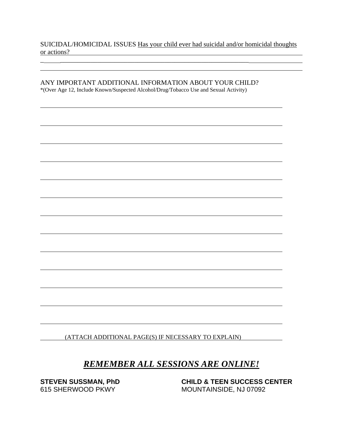### SUICIDAL/HOMICIDAL ISSUES Has your child ever had suicidal and/or homicidal thoughts or actions?

#### ANY IMPORTANT ADDITIONAL INFORMATION ABOUT YOUR CHILD? \*(Over Age 12, Include Known/Suspected Alcohol/Drug/Tobacco Use and Sexual Activity)

\_ \_\_\_\_\_\_\_\_\_\_\_\_\_\_\_\_\_\_\_\_\_\_\_\_\_\_\_\_\_\_\_\_\_\_\_\_\_\_\_\_\_\_\_\_\_\_\_\_\_\_\_\_\_\_\_\_

#### (ATTACH ADDITIONAL PAGE(S) IF NECESSARY TO EXPLAIN)

# *REMEMBER ALL SESSIONS ARE ONLINE!*

**STEVEN SUSSMAN, PhD CHILD & TEEN SUCCESS CENTER** MOUNTAINSIDE, NJ 07092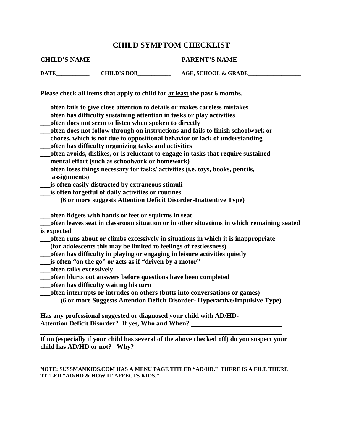# **CHILD SYMPTOM CHECKLIST**

|  | <b>CHILD'S NAME</b> |  |
|--|---------------------|--|
|  |                     |  |

**CHILD'S NAME PARENT'S NAME**

**DATE\_\_\_\_\_\_\_\_\_\_\_\_ CHILD'S DOB\_\_\_\_\_\_\_\_\_\_\_\_ AGE, SCHOOL & GRADE\_\_\_\_\_\_\_\_\_\_\_\_\_\_\_\_\_\_\_**

**Please check all items that apply to child for at least the past 6 months.**

- **\_\_\_often fails to give close attention to details or makes careless mistakes**
- **\_\_\_often has difficulty sustaining attention in tasks or play activities**
- **\_\_\_often does not seem to listen when spoken to directly**
- **\_\_\_often does not follow through on instructions and fails to finish schoolwork or chores, which is not due to oppositional behavior or lack of understanding**
- **\_\_\_often has difficulty organizing tasks and activities**
- **\_\_\_often avoids, dislikes, or is reluctant to engage in tasks that require sustained mental effort (such as schoolwork or homework)**
- **\_\_\_often loses things necessary for tasks/ activities (i.e. toys, books, pencils, assignments)**
- **\_\_\_is often easily distracted by extraneous stimuli**
- **\_\_\_is often forgetful of daily activities or routines**
	- **(6 or more suggests Attention Deficit Disorder-Inattentive Type)**
- **\_\_\_often fidgets with hands or feet or squirms in seat**
- **\_\_\_often leaves seat in classroom situation or in other situations in which remaining seated is expected**
- **\_\_\_often runs about or climbs excessively in situations in which it is inappropriate (for adolescents this may be limited to feelings of restlessness)**
- **\_\_\_often has difficulty in playing or engaging in leisure activities quietly**
- **\_\_\_is often "on the go" or acts as if "driven by a motor"**
- **\_\_\_often talks excessively**
- **\_\_\_often blurts out answers before questions have been completed**
- **\_\_\_often has difficulty waiting his turn**
- **\_\_\_often interrupts or intrudes on others (butts into conversations or games)**
	- **(6 or more Suggests Attention Deficit Disorder- Hyperactive/Impulsive Type)**

**Has any professional suggested or diagnosed your child with AD/HD-Attention Deficit Disorder? If yes, Who and When?**

**If no (especially if your child has several of the above checked off) do you suspect your child has AD/HD or not? Why?**

#### **NOTE: SUSSMANKIDS.COM HAS A MENU PAGE TITLED "AD/HD." THERE IS A FILE THERE TITLED "AD/HD & HOW IT AFFECTS KIDS."**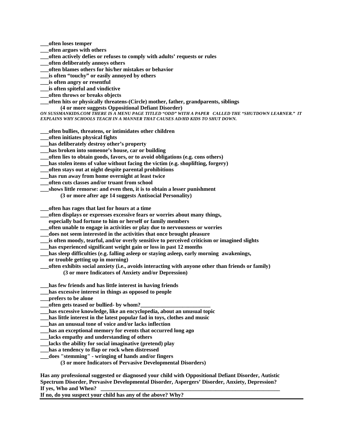- **\_\_\_often loses temper**
- **\_\_\_often argues with others**
- **\_\_\_often actively defies or refuses to comply with adults' requests or rules**
- **\_\_\_often deliberately annoys others**
- **\_\_\_often blames others for his/her mistakes or behavior**
- **\_\_\_is often "touchy" or easily annoyed by others**
- **\_\_\_is often angry or resentful**
- **\_\_\_is often spiteful and vindictive**
- **\_\_\_often throws or breaks objects**

**\_\_\_often hits or physically threatens-(Circle) mother, father, grandparents, siblings**

**(4 or more suggests Oppositional Defiant Disorder)**

*ON SUSSMANKIDS.COM THERE IS A MENU PAGE TITLED "ODD" WITH A PAPER CALLED THE "SHUTDOWN LEARNER." IT EXPLAINS WHY SCHOOLS TEACH IN A MANNER THAT CAUSES AD/HD KIDS TO SHUT DOWN.*

- **\_\_\_often bullies, threatens, or intimidates other children**
- **\_\_\_often initiates physical fights**
- **\_\_\_has deliberately destroy other's property**
- **\_\_\_has broken into someone's house, car or building**
- **\_\_\_often lies to obtain goods, favors, or to avoid obligations (e.g. cons others)**
- **\_\_\_has stolen items of value without facing the victim (e.g. shoplifting, forgery)**
- **\_\_\_often stays out at night despite parental prohibitions**
- **\_\_\_has run away from home overnight at least twice**
- **\_\_\_often cuts classes and/or truant from school**
- **\_\_\_shows little remorse: and even then, it is to obtain a lesser punishment (3 or more after age 14 suggests Antisocial Personality)**

**\_\_\_often has rages that last for hours at a time**

- **\_\_\_often displays or expresses excessive fears or worries about many things,**
- **especially bad fortune to him or herself or family members**
- **\_\_\_often unable to engage in activities or play due to nervousness or worries**
- **\_\_\_does not seem interested in the activities that once brought pleasure**
- **\_\_\_is often moody, tearful, and/or overly sensitive to perceived criticism or imagined slights**
- **\_\_\_has experienced significant weight gain or loss in past 12 months**
- has sleep difficulties (e.g. falling asleep or staying asleep, early morning awakenings,  **or trouble getting up in morning)**
- **\_\_\_often exhibits social anxiety (i.e., avoids interacting with anyone other than friends or family) (3 or more Indicators of Anxiety and/or Depression)**
- **\_\_\_has few friends and has little interest in having friends**
- **\_\_\_has excessive interest in things as opposed to people**
- **\_\_\_prefers to be alone**
- **\_\_\_often gets teased or bullied- by whom?\_\_\_\_\_\_\_\_\_\_\_\_\_\_\_\_\_\_\_\_\_\_\_\_\_**
- **\_\_\_has excessive knowledge, like an encyclopedia, about an unusual topic**
- **\_\_\_has little interest in the latest popular fad in toys, clothes and music**
- **\_\_\_has an unusual tone of voice and/or lacks inflection**
- **\_\_\_has an exceptional memory for events that occurred long ago**
- **\_\_\_lacks empathy and understanding of others**
- **\_\_\_lacks the ability for social imaginative (pretend) play**
- **\_\_\_has a tendency to flap or rock when distressed**
- **\_\_\_does "stemming" - wringing of hands and/or fingers**
	- **(3 or more Indicators of Pervasive Developmental Disorders)**

**Has any professional suggested or diagnosed your child with Oppositional Defiant Disorder, Autistic Spectrum Disorder, Pervasive Developmental Disorder, Aspergers' Disorder, Anxiety, Depression?**  If yes, Who and When?

**If no, do you suspect your child has any of the above? Why?**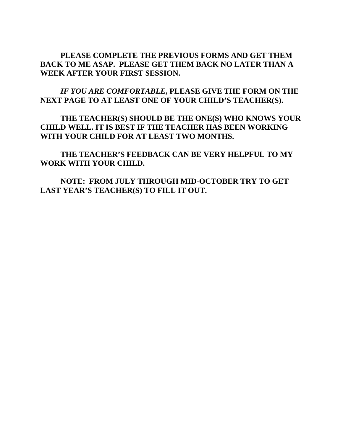**PLEASE COMPLETE THE PREVIOUS FORMS AND GET THEM BACK TO ME ASAP. PLEASE GET THEM BACK NO LATER THAN A WEEK AFTER YOUR FIRST SESSION.**

*IF YOU ARE COMFORTABLE***, PLEASE GIVE THE FORM ON THE NEXT PAGE TO AT LEAST ONE OF YOUR CHILD'S TEACHER(S).** 

**THE TEACHER(S) SHOULD BE THE ONE(S) WHO KNOWS YOUR CHILD WELL. IT IS BEST IF THE TEACHER HAS BEEN WORKING WITH YOUR CHILD FOR AT LEAST TWO MONTHS.** 

**THE TEACHER'S FEEDBACK CAN BE VERY HELPFUL TO MY WORK WITH YOUR CHILD.**

**NOTE: FROM JULY THROUGH MID-OCTOBER TRY TO GET LAST YEAR'S TEACHER(S) TO FILL IT OUT.**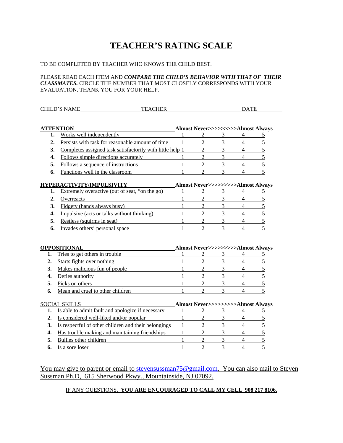# **TEACHER'S RATING SCALE**

#### TO BE COMPLETED BY TEACHER WHO KNOWS THE CHILD BEST.

#### PLEASE READ EACH ITEM AND *COMPARE THE CHILD'S BEHAVIOR WITH THAT OF THEIR CLASSMATES.* CIRCLE THE NUMBER THAT MOST CLOSELY CORRESPONDS WITH YOUR EVALUATION. THANK YOU FOR YOUR HELP.

| <b>CHILD'S NAME</b><br><b>TEACHER</b> |                                                           |              |                                                                           |                | <b>DATE</b>    |                     |
|---------------------------------------|-----------------------------------------------------------|--------------|---------------------------------------------------------------------------|----------------|----------------|---------------------|
|                                       |                                                           |              |                                                                           |                |                |                     |
|                                       |                                                           |              |                                                                           |                |                |                     |
| 1.                                    | <b>ATTENTION</b><br>Works well independently              |              | <b>Almost Never&gt;&gt;&gt;&gt;&gt;&gt;&gt;&gt;&gt;Almost Always</b><br>2 | 3              | 4              | 5                   |
| $\overline{2}$ .                      | Persists with task for reasonable amount of time          | $\mathbf{1}$ | $\overline{2}$                                                            | 3              | 4              | 5                   |
| 3.                                    | Completes assigned task satisfactorily with little help 1 |              | $\overline{2}$                                                            | $\overline{3}$ | $\overline{4}$ | $\overline{5}$      |
| 4.                                    | Follows simple directions accurately                      | $\mathbf{1}$ | $\overline{2}$                                                            | $\overline{3}$ | $\overline{4}$ | $\overline{5}$      |
| 5.                                    | Follows a sequence of instructions                        | $\mathbf{1}$ | $\overline{2}$                                                            | 3              | $\overline{4}$ | 5                   |
| 6.                                    | Functions well in the classroom                           | 1            | $\overline{2}$                                                            | $\overline{3}$ | 4              | 5                   |
|                                       |                                                           |              |                                                                           |                |                |                     |
|                                       | HYPERACTIVITY/IMPULSIVITY                                 |              | <b>Almost Never&gt;&gt;&gt;&gt;&gt;&gt;&gt;&gt;&gt;Almost Always</b>      |                |                |                     |
| 1.                                    | Extremely overactive (out of seat, "on the go)            |              | 2                                                                         | 3              | 4              | 5                   |
| $\overline{2}$ .                      | Overreacts                                                | $\mathbf{1}$ | $\overline{2}$                                                            | 3              | $\overline{4}$ | $\overline{5}$      |
| 3.                                    | Fidgety (hands always busy)                               | 1            | $\overline{2}$                                                            | 3              | $\overline{4}$ | 5                   |
| 4.                                    | Impulsive (acts or talks without thinking)                | $\mathbf{1}$ | $\overline{2}$                                                            | 3              | $\overline{4}$ | 5                   |
| 5.                                    | Restless (squirms in seat)                                | $\mathbf{1}$ | $\overline{2}$                                                            | 3              | $\overline{4}$ | 5                   |
| 6.                                    | Invades others' personal space                            | $\mathbf{1}$ | $\overline{2}$                                                            | 3              | 4              | 5                   |
|                                       |                                                           |              |                                                                           |                |                |                     |
|                                       |                                                           |              |                                                                           |                |                |                     |
| 1.                                    | <b>OPPOSITIONAL</b><br>Tries to get others in trouble     | 1            | Almost Never>>>>>>>>>Almost Always<br>$\overline{2}$                      | 3              | 4              |                     |
| 2.                                    | Starts fights over nothing                                | $\mathbf{1}$ | $\overline{2}$                                                            | $\overline{3}$ | $\overline{4}$ | 5<br>$\overline{5}$ |
| 3.                                    | Makes malicious fun of people                             | $\mathbf{1}$ | $\overline{2}$                                                            | 3              | $\overline{4}$ | 5                   |
| 4.                                    | Defies authority                                          | $\mathbf{1}$ | $\overline{2}$                                                            | 3              | $\overline{4}$ | 5                   |
| 5.                                    | Picks on others                                           | $\mathbf{1}$ | $\overline{2}$                                                            | 3              | $\overline{4}$ | 5                   |
|                                       | Mean and cruel to other children                          | $\mathbf{1}$ | $\mathcal{D}$                                                             | 3              | $\overline{4}$ | 5                   |
| 6.                                    |                                                           |              |                                                                           |                |                |                     |
|                                       | <b>SOCIAL SKILLS</b>                                      |              | <b>Almost Never&gt;&gt;&gt;&gt;&gt;&gt;&gt;&gt;&gt;Almost Always</b>      |                |                |                     |
| 1.                                    | Is able to admit fault and apologize if necessary         |              |                                                                           | 3              | 4              | $\overline{5}$      |
| 2.                                    | Is considered well-liked and/or popular                   | $\mathbf{1}$ | $\overline{2}$                                                            | 3              | 4              | $\overline{5}$      |
| 3.                                    | Is respectful of other children and their belongings      | $\mathbf{1}$ | $\overline{2}$                                                            | 3              | $\overline{4}$ | $\overline{5}$      |
| 4.                                    | Has trouble making and maintaining friendships            | 1            | $\overline{2}$                                                            | 3              | $\overline{4}$ | 5                   |
| 5.                                    | Bullies other children                                    | $\mathbf{1}$ | $\overline{2}$                                                            | 3              | $\overline{4}$ | 5                   |
| 6.                                    | Is a sore loser                                           | 1            | $\overline{2}$                                                            | 3              | $\overline{4}$ | 5                   |
|                                       |                                                           |              |                                                                           |                |                |                     |

You may give to parent or email to [stevensussman75@gmail.com.](mailto:stevensussman75@gmail.com) You can also mail to Steven Sussman Ph.D, 615 Sherwood Pkwy., Mountainside, NJ 07092.

### IF ANY QUESTIONS, **YOU ARE ENCOURAGED TO CALL MY CELL 908 217 8106.**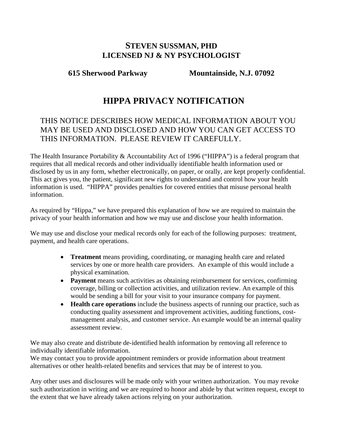# **STEVEN SUSSMAN, PHD LICENSED NJ & NY PSYCHOLOGIST**

**615 Sherwood Parkway Mountainside, N.J. 07092**

# **HIPPA PRIVACY NOTIFICATION**

# THIS NOTICE DESCRIBES HOW MEDICAL INFORMATION ABOUT YOU MAY BE USED AND DISCLOSED AND HOW YOU CAN GET ACCESS TO THIS INFORMATION. PLEASE REVIEW IT CAREFULLY.

The Health Insurance Portability & Accountability Act of 1996 ("HIPPA") is a federal program that requires that all medical records and other individually identifiable health information used or disclosed by us in any form, whether electronically, on paper, or orally, are kept properly confidential. This act gives you, the patient, significant new rights to understand and control how your health information is used. "HIPPA" provides penalties for covered entities that misuse personal health information.

As required by "Hippa," we have prepared this explanation of how we are required to maintain the privacy of your health information and how we may use and disclose your health information.

We may use and disclose your medical records only for each of the following purposes: treatment, payment, and health care operations.

- **Treatment** means providing, coordinating, or managing health care and related services by one or more health care providers. An example of this would include a physical examination.
- **Payment** means such activities as obtaining reimbursement for services, confirming coverage, billing or collection activities, and utilization review. An example of this would be sending a bill for your visit to your insurance company for payment.
- **Health care operations** include the business aspects of running our practice, such as conducting quality assessment and improvement activities, auditing functions, costmanagement analysis, and customer service. An example would be an internal quality assessment review.

We may also create and distribute de-identified health information by removing all reference to individually identifiable information.

We may contact you to provide appointment reminders or provide information about treatment alternatives or other health-related benefits and services that may be of interest to you.

Any other uses and disclosures will be made only with your written authorization. You may revoke such authorization in writing and we are required to honor and abide by that written request, except to the extent that we have already taken actions relying on your authorization.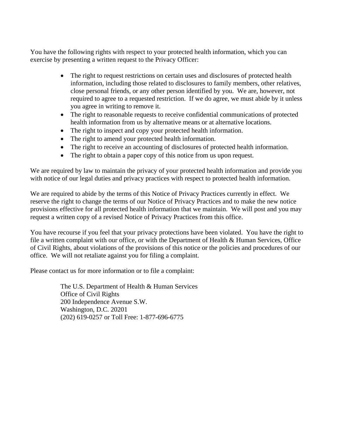You have the following rights with respect to your protected health information, which you can exercise by presenting a written request to the Privacy Officer:

- The right to request restrictions on certain uses and disclosures of protected health information, including those related to disclosures to family members, other relatives, close personal friends, or any other person identified by you. We are, however, not required to agree to a requested restriction. If we do agree, we must abide by it unless you agree in writing to remove it.
- The right to reasonable requests to receive confidential communications of protected health information from us by alternative means or at alternative locations.
- The right to inspect and copy your protected health information.
- The right to amend your protected health information.
- The right to receive an accounting of disclosures of protected health information.
- The right to obtain a paper copy of this notice from us upon request.

We are required by law to maintain the privacy of your protected health information and provide you with notice of our legal duties and privacy practices with respect to protected health information.

We are required to abide by the terms of this Notice of Privacy Practices currently in effect. We reserve the right to change the terms of our Notice of Privacy Practices and to make the new notice provisions effective for all protected health information that we maintain. We will post and you may request a written copy of a revised Notice of Privacy Practices from this office.

You have recourse if you feel that your privacy protections have been violated. You have the right to file a written complaint with our office, or with the Department of Health & Human Services, Office of Civil Rights, about violations of the provisions of this notice or the policies and procedures of our office. We will not retaliate against you for filing a complaint.

Please contact us for more information or to file a complaint:

The U.S. Department of Health & Human Services Office of Civil Rights 200 Independence Avenue S.W. Washington, D.C. 20201 (202) 619-0257 or Toll Free: 1-877-696-6775